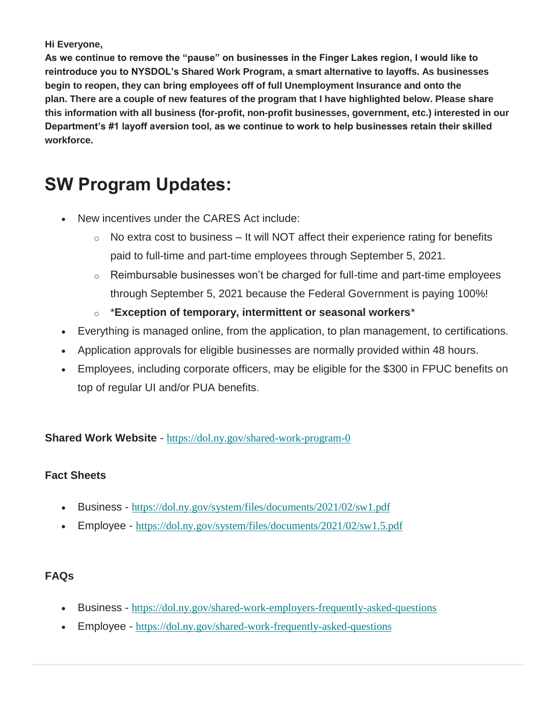#### **Hi Everyone,**

**As we continue to remove the "pause" on businesses in the Finger Lakes region, I would like to reintroduce you to NYSDOL's Shared Work Program, a smart alternative to layoffs. As businesses begin to reopen, they can bring employees off of full Unemployment Insurance and onto the plan. There are a couple of new features of the program that I have highlighted below. Please share this information with all business (for-profit, non-profit businesses, government, etc.) interested in our Department's #1 layoff aversion tool, as we continue to work to help businesses retain their skilled workforce.**

# **SW Program Updates:**

- New incentives under the CARES Act include:
	- $\circ$  No extra cost to business It will NOT affect their experience rating for benefits paid to full-time and part-time employees through September 5, 2021.
	- $\circ$  Reimbursable businesses won't be charged for full-time and part-time employees through September 5, 2021 because the Federal Government is paying 100%!
	- o \***Exception of temporary, intermittent or seasonal workers**\*
- Everything is managed online, from the application, to plan management, to certifications.
- Application approvals for eligible businesses are normally provided within 48 hours.
- Employees, including corporate officers, may be eligible for the \$300 in FPUC benefits on top of regular UI and/or PUA benefits.

**Shared Work Website** - [https://dol.ny.gov/shared-work-program-0](https://wildapricot.us7.list-manage.com/track/click?u=007a9765d86ae38201cde7b99&id=d2ad8e227e&e=0bd9a6d292)

### **Fact Sheets**

- Business [https://dol.ny.gov/system/files/documents/2021/02/sw1.pdf](https://wildapricot.us7.list-manage.com/track/click?u=007a9765d86ae38201cde7b99&id=eae3786dad&e=0bd9a6d292)
- Employee [https://dol.ny.gov/system/files/documents/2021/02/sw1.5.pdf](https://wildapricot.us7.list-manage.com/track/click?u=007a9765d86ae38201cde7b99&id=fb5d13ec5d&e=0bd9a6d292)

### **FAQs**

- Business [https://dol.ny.gov/shared-work-employers-frequently-asked-questions](https://wildapricot.us7.list-manage.com/track/click?u=007a9765d86ae38201cde7b99&id=8da1f30aef&e=0bd9a6d292)
- Employee [https://dol.ny.gov/shared-work-frequently-asked-questions](https://wildapricot.us7.list-manage.com/track/click?u=007a9765d86ae38201cde7b99&id=412fd1d170&e=0bd9a6d292)